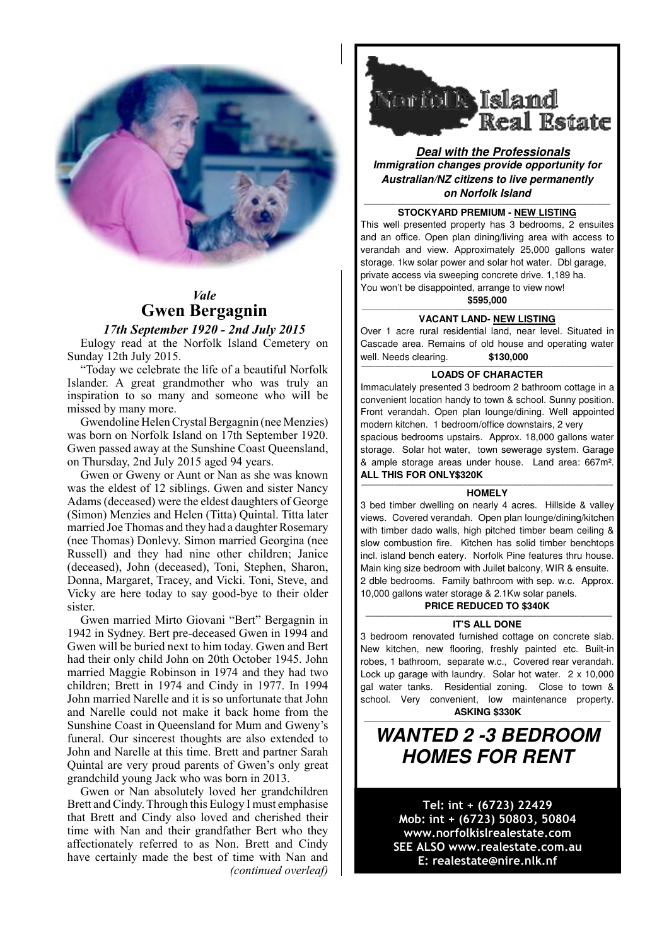

## *Vale*  **Gwen Bergagnin**

## *17th September 1920 - 2nd July 2015* **Gwen Bergagnin**

Eulogy read at the Norfolk Island Cemetery on Eulogy read at the NOTION Island Cemetery<br>Sunday 12th July 2015.

"Today we celebrate the life of a beautiful Norfolk Islander. A great grandmother who was truly an  $\Box$  Immaculately presented 3 bedroom inspiration to so many and someone who will be  $\int_{\text{conv}}^{\text{max}}$ missed by many more.

Gwendoline Helen Crystal Bergagnin (nee Menzies) | modern kitchen. 1 bedroom/office downs was born on Norfolk Island on 17th September 1920. Spacious bedrooms upstairs. Approx. 1 Gwen passed away at the Sunshine Coast Queensland, Owen passed away at the Sunshine Coast Queensiand,<br>  $\alpha$  ample storage areas under house.<br>  $\alpha$  ample storage areas under house.

Gwen or Gweny or Aunt or Nan as she was known **ALL THIS FOR ONLY\$320K** was the eldest of 12 siblings. Gwen and sister Nancy  $\left\| \cdot \right\|$ Adams (deceased) were the eldest daughters of George | shared imperiment welling on nearly 4 acres  $\sum_{\text{Simon}}$  Menzies and Helen (Titta) Quintal. Titta later  $\sum_{\text{Simon}}$  Covered v married Joe Thomas and they had a daughter Rosemary (nee Thomas) Donlevy. Simon married Georgina (nee | slow combustion fire. Kitchen has so Russell) and they had nine other children; Janice | incl. island bench eatery. Norfolk Pine feature (deceased), John (deceased), Toni, Stephen, Sharon, (acceased), John (acceased), Tom, Stephen, Sharon,<br>Donna, Margaret, Tracey, and Vicki. Toni, Steve, and 2 dble bedrooms. Family bathroom with se Vicky are here today to say good-bye to their older **10.000 gallons** water storage & 2.1K sister. **PRICE REDUCED TO \$340K**<br>Sunshine Coast in Additional for Mum and Gweny's function of the Coast of Mum and Gweny's function of the Coast <br>And Gweny's function of the Coast of Mum and Gweny's function of the Coast of the Co

Gwen married Mirto Giovani "Bert" Bergagnin in  $\|\cdot\|$   $\qquad \qquad \qquad$ 1942 in Sydney. Bert pre-deceased Gwen in 1994 and Gwen will be buried next to him today. Gwen and Bert had their only child John on 20th October 1945. John | robes, 1 bathroom, separate w.c., Cove married Maggie Robinson in 1974 and they had two Lock up garage with laundry. Solar h children; Brett in 1974 and Cindy in 1977. In 1994 Unitatively referred Narelle and it is so unfortunate that John  $\left| \int_{\text{school.}}^{\text{gal. water.}} \right|$  and Nan and Nan and Non. Brestter and  $\frac{1}{2}$  and  $\frac{1}{2}$  school. Very convenient, low main and Narelle could not make it back home from the **and the first to the first to the first that the first that they** Sunshine Coast in Queensland for Mum and Gweny's  $\overline{\mathbf{u}}$ funeral. Our sincerest thoughts are also extended to  $\parallel$  WANIED 2 -3 BED John and Narelle at this time. Brett and partner Sarah  $\|\cdot\|$   $\blacksquare$ Quintal are very proud parents of Gwen's only great Cindy can relate to these wonderful traits and skills for the rest of their lives. grandchild young Jack who was born in 2013.

Gwen or Nan absolutely loved her grandchildren Brett and Cindy. Through this Eulogy I must emphasise **Fel: int + (6723) 22** that Brett and Cindy also loved and cherished their time with Nan and their grandfather Bert who they **www.porfolkislrealesta**<br>www.porfolkislrealesta affectionately referred to as Non. Brett and Cindy have certainly made the best of time with Nan and *(continued overleaf)*



**Deal with the Professionals Immigration changes provide opportunity for Australian/NZ citizens to live permanently on Norfolk Island**

## **MARKLEY STOCKY ARD PREMIUM - NEW LISTING**

This well presented property has 3 bedrooms, 2 ensuites and an office. Open plan dining/living area with access to verandah and view. Approximately 25,000 gallons water storage. 1kw solar power and solar hot water. Dbl garage, private access via sweeping concrete drive. 1,189 ha. You won't be disappointed, arrange to view now!

### **\$595,000** —————————————————————————————————————————————————————

### **VACANT LAND- NEW LISTING**

Over 1 acre rural residential land, near level. Situated in Cascade area. Remains of old house and operating water well. Needs clearing. **\$130,000**

#### **————————————————————————————————————————————————————— LOADS OF CHARACTER**

Immaculately presented 3 bedroom 2 bathroom cottage in a convenient location handy to town & school. Sunny position. Front verandah. Open plan lounge/dining. Well appointed modern kitchen. 1 bedroom/office downstairs, 2 very spacious bedrooms upstairs. Approx. 18,000 gallons water storage. Solar hot water, town sewerage system. Garage & ample storage areas under house. Land area: 667m². **ALL THIS FOR ONLY\$320K**

#### **————————————————————————————————————————————————————— HOMELY**

3 bed timber dwelling on nearly 4 acres. Hillside & valley views. Covered verandah. Open plan lounge/dining/kitchen with timber dado walls, high pitched timber beam ceiling & slow combustion fire. Kitchen has solid timber benchtops incl. island bench eatery. Norfolk Pine features thru house. Main king size bedroom with Juilet balcony, WIR & ensuite. 2 dble bedrooms. Family bathroom with sep. w.c. Approx. 10,000 gallons water storage & 2.1Kw solar panels.

### **IT'S ALL DONE**

3 bedroom renovated furnished cottage on concrete slab. New kitchen, new flooring, freshly painted etc. Built-in robes, 1 bathroom, separate w.c., Covered rear verandah. Lock up garage with laundry. Solar hot water. 2 x 10,000 gal water tanks. Residential zoning. Close to town & school. Very convenient, low maintenance property. **ASKING \$330K**

# **WANTED 2 -3 BEDROOM HOMES FOR RENT**

**————————————————————————————————————————————————————**

Tel: int + (6723) 22429 Mob: int + (6723) 50803, 50804 www.norfolkislrealestate.com SEE ALSO www.realestate.com.au E: realestate@nire.nlk.nf